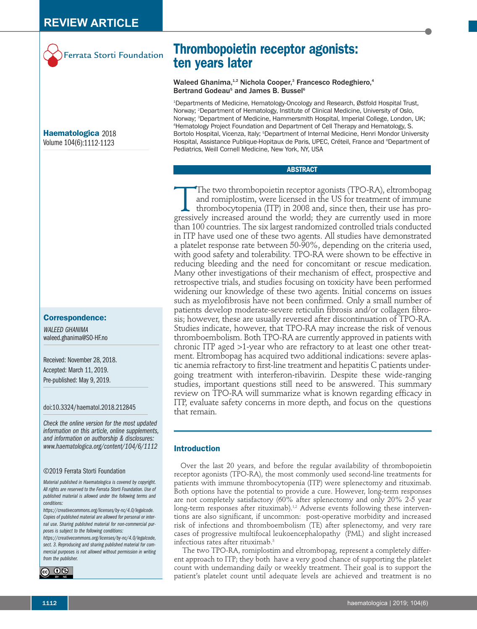

**Haematologica** 2018 Volume 104(6):1112-1123

## **Correspondence:**

*WALEED GHANIMA* waleed.ghanima@SO-HF.no

Received: November 28, 2018. Accepted: March 11, 2019. Pre-published: May 9, 2019.

### doi:10.3324/haematol.2018.212845

*Check the online version for the most updated information on this article, online supplements, and information on authorship & disclosures: www.haematologica.org/content/104/6/1112*

#### ©2019 Ferrata Storti Foundation

*Material published in Haematologica is covered by copyright. All rights are reserved to the Ferrata Storti Foundation. Use of published material is allowed under the following terms and conditions:* 

*https://creativecommons.org/licenses/by-nc/4.0/legalcode. Copies of published material are allowed for personal or internal use. Sharing published material for non-commercial purposes is subject to the following conditions:* 

*https://creativecommons.org/licenses/by-nc/4.0/legalcode, sect. 3. Reproducing and sharing published material for commercial purposes is not allowed without permission in writing from the publisher.*



**Thrombopoietin receptor agonists: ten years later**

# Waleed Ghanima,<sup>1,2</sup> Nichola Cooper,<sup>3</sup> Francesco Rodeghiero,<sup>4</sup> Bertrand Godeau<sup>5</sup> and James B. Bussel<sup>6</sup>

1 Departments of Medicine, Hematology-Oncology and Research, Østfold Hospital Trust, Norway; 2 Department of Hematology, Institute of Clinical Medicine, University of Oslo, Norway; <sup>3</sup>Department of Medicine, Hammersmith Hospital, Imperial College, London, UK; 4 Hematology Project Foundation and Department of Cell Therapy and Hematology, S. Bortolo Hospital, Vicenza, Italy; <sup>5</sup>Department of Internal Medicine, Henri Mondor University Hospital, Assistance Publique-Hopitaux de Paris, UPEC, Créteil, France and <sup>6</sup>Department of Pediatrics, Weill Cornell Medicine, New York, NY, USA

## **ABSTRACT**

The two thrombopoietin receptor agonists (TPO-RA), eltrombopage and romiplostim, were licensed in the US for treatment of immune thrombocytopenia (ITP) in 2008 and, since then, their use has progressively increased around and romiplostim, were licensed in the US for treatment of immune thrombocytopenia (ITP) in 2008 and, since then, their use has progressively increased around the world; they are currently used in more than 100 countries. The six largest randomized controlled trials conducted in ITP have used one of these two agents. All studies have demonstrated a platelet response rate between 50-90%, depending on the criteria used, with good safety and tolerability. TPO-RA were shown to be effective in reducing bleeding and the need for concomitant or rescue medication. Many other investigations of their mechanism of effect, prospective and retrospective trials, and studies focusing on toxicity have been performed widening our knowledge of these two agents. Initial concerns on issues such as myelofibrosis have not been confirmed. Only a small number of patients develop moderate-severe reticulin fibrosis and/or collagen fibrosis; however, these are usually reversed after discontinuation of TPO-RA. Studies indicate, however, that TPO-RA may increase the risk of venous thromboembolism. Both TPO-RA are currently approved in patients with chronic ITP aged >1-year who are refractory to at least one other treatment. Eltrombopag has acquired two additional indications: severe aplastic anemia refractory to first-line treatment and hepatitis C patients undergoing treatment with interferon-ribavirin. Despite these wide-ranging studies, important questions still need to be answered. This summary review on TPO-RA will summarize what is known regarding efficacy in ITP, evaluate safety concerns in more depth, and focus on the questions that remain.

# **Introduction**

Over the last 20 years, and before the regular availability of thrombopoietin receptor agonists (TPO-RA), the most commonly used second-line treatments for patients with immune thrombocytopenia (ITP) were splenectomy and rituximab. Both options have the potential to provide a cure. However, long-term responses are not completely satisfactory (60% after splenectomy and only 20% 2-5 year long-term responses after rituximab).<sup>1,2</sup> Adverse events following these interventions are also significant, if uncommon: post-operative morbidity and increased risk of infections and thromboembolism (TE) after splenectomy, and very rare cases of progressive multifocal leukoencephalopathy (PML) and slight increased infectious rates after rituximab.<sup>3</sup>

The two TPO-RA, romiplostim and eltrombopag, represent a completely different approach to ITP; they both have a very good chance of supporting the platelet count with undemanding daily or weekly treatment. Their goal is to support the patient's platelet count until adequate levels are achieved and treatment is no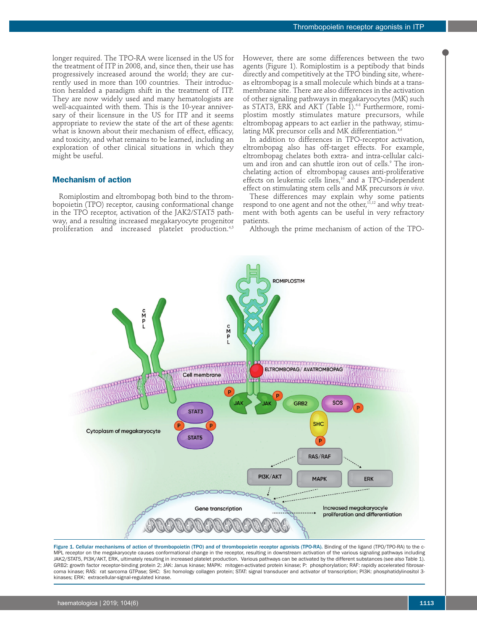longer required. The TPO-RA were licensed in the US for the treatment of ITP in 2008, and, since then, their use has progressively increased around the world; they are currently used in more than 100 countries. Their introduction heralded a paradigm shift in the treatment of ITP. They are now widely used and many hematologists are well-acquainted with them. This is the 10-year anniversary of their licensure in the US for ITP and it seems appropriate to review the state of the art of these agents: what is known about their mechanism of effect, efficacy, and toxicity, and what remains to be learned, including an exploration of other clinical situations in which they might be useful.

# **Mechanism of action**

Romiplostim and eltrombopag both bind to the thrombopoietin (TPO) receptor, causing conformational change in the TPO receptor, activation of the JAK2/STAT5 pathway, and a resulting increased megakaryocyte progenitor proliferation and increased platelet production.<sup>4,5</sup>

However, there are some differences between the two agents (Figure 1). Romiplostim is a peptibody that binds directly and competitively at the TPO binding site, whereas eltrombopag is a small molecule which binds at a transmembrane site. There are also differences in the activation of other signaling pathways in megakaryocytes (MK) such as STAT3, ERK and AKT (Table 1).<sup>68</sup> Furthermore, romiplostim mostly stimulates mature precursors, while eltrombopag appears to act earlier in the pathway, stimulating MK precursor cells and MK differentiation.<sup>4,6</sup>

In addition to differences in TPO-receptor activation, eltrombopag also has off-target effects. For example, eltrombopag chelates both extra- and intra-cellular calcium and iron and can shuttle iron out of cells.<sup>9</sup> The ironchelating action of eltrombopag causes anti-proliferative effects on leukemic cells lines, $10^{\circ}$  and a TPO-independent effect on stimulating stem cells and MK precursors *in vivo*.

These differences may explain why some patients respond to one agent and not the other, $11,12$  and why treatment with both agents can be useful in very refractory patients.

Although the prime mechanism of action of the TPO-



Figure 1. Cellular mechanisms of action of thrombopoietin (TPO) and of thrombopoietin receptor agonists (TPO-RA). Binding of the ligand (TPO/TPO-RA) to the c-MPL receptor on the megakaryocyte causes conformational change in the receptor, resulting in downstream activation of the various signaling pathways including JAK2/STAT5, PI3K/AKT, ERK, ultimately resulting in increased platelet production. Various pathways can be activated by the different substances (see also Table 1). GRB2: growth factor receptor-binding protein 2; JAK: Janus kinase; MAPK: mitogen-activated protein kinase; P: phosphorylation; RAF: rapidly accelerated fibrosarcoma kinase; RAS: rat sarcoma GTPase; SHC: Src homology collagen protein; STAT: signal transducer and activator of transcription; PI3K: phosphatidylinositol 3 kinases; ERK: extracellular-signal-regulated kinase.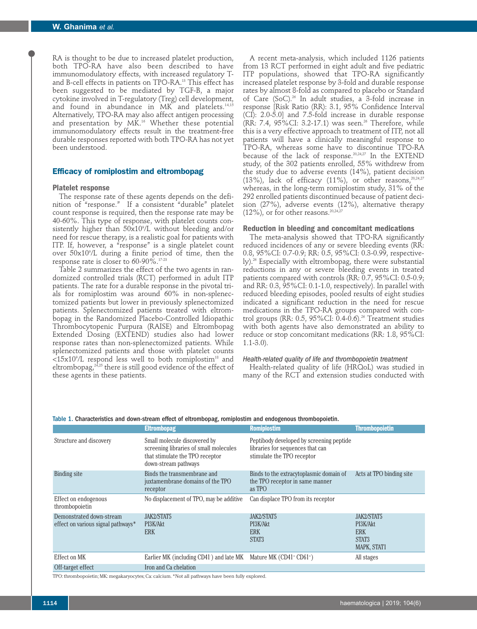RA is thought to be due to increased platelet production, both TPO-RA have also been described to have immunomodulatory effects, with increased regulatory Tand B-cell effects in patients on TPO-RA.13 This effect has been suggested to be mediated by TGF-B, a major cytokine involved in T-regulatory (Treg) cell development, and found in abundance in MK and platelets.14,15 Alternatively, TPO-RA may also affect antigen processing and presentation by MK.<sup>16</sup> Whether these potential immunomodulatory effects result in the treatment-free durable responses reported with both TPO-RA has not yet been understood.

### **Efficacy of romiplostim and eltrombopag**

#### **Platelet response**

The response rate of these agents depends on the definition of "response." If a consistent "durable" platelet count response is required, then the response rate may be 40-60%. This type of response, with platelet counts consistently higher than 50x109 /L without bleeding and/or need for rescue therapy, is a realistic goal for patients with ITP. If, however, a "response" is a single platelet count over 50x109 /L during a finite period of time, then the response rate is closer to 60-90%.17-23

Table 2 summarizes the effect of the two agents in randomized controlled trials (RCT) performed in adult ITP patients. The rate for a durable response in the pivotal trials for romiplostim was around 60% in non-splenectomized patients but lower in previously splenectomized patients. Splenectomized patients treated with eltrombopag in the Randomized Placebo-Controlled Idiopathic Thrombocytopenic Purpura (RAISE) and Eltrombopag Extended Dosing (EXTEND) studies also had lower response rates than non-splenectomized patients. While splenectomized patients and those with platelet counts  ${<}15\mathrm{x}10^\circ\mathrm{/L}$  respond less well to both romiplostim $^\mathrm{18}$  and eltrombopag,<sup>24,25</sup> there is still good evidence of the effect of these agents in these patients.

A recent meta-analysis, which included 1126 patients from 13 RCT performed in eight adult and five pediatric ITP populations, showed that TPO-RA significantly increased platelet response by 3-fold and durable response rates by almost 8-fold as compared to placebo or Standard of Care (SoC).26 In adult studies, a 3-fold increase in response [Risk Ratio (RR): 3.1, 95% Confidence Interval (CI): 2.0-5.0] and 7.5-fold increase in durable response (RR: 7.4,  $95\%$ CI: 3.2-17.1) was seen.<sup>26</sup> Therefore, while this is a very effective approach to treatment of ITP, not all patients will have a clinically meaningful response to TPO-RA, whereas some have to discontinue TPO-RA because of the lack of response.20,24,27 In the EXTEND study, of the 302 patients enrolled, 55% withdrew from the study due to adverse events (14%), patient decision (13%), lack of efficacy (11%), or other reasons, $20,24,27$ whereas, in the long-term romiplostim study, 31% of the 292 enrolled patients discontinued because of patient decision (27%), adverse events (12%), alternative therapy (12%), or for other reasons.<sup>20,24,27</sup>

### **Reduction in bleeding and concomitant medications**

The meta-analysis showed that TPO-RA significantly reduced incidences of any or severe bleeding events (RR: 0.8, 95%CI: 0.7-0.9; RR: 0.5, 95%CI: 0.3-0.99, respectively).<sup>26</sup> Especially with eltrombopag, there were substantial reductions in any or severe bleeding events in treated patients compared with controls (RR: 0.7, 95%CI: 0.5-0.9; and RR: 0.3, 95%CI: 0.1-1.0, respectively). In parallel with reduced bleeding episodes, pooled results of eight studies indicated a significant reduction in the need for rescue medications in the TPO-RA groups compared with control groups (RR:  $0.5$ ,  $95\%$ CI:  $0.4$ -0.6).<sup>26</sup> Treatment studies with both agents have also demonstrated an ability to reduce or stop concomitant medications (RR: 1.8, 95%CI: 1.1-3.0).

## *Health-related quality of life and thrombopoietin treatment*

Health-related quality of life (HRQoL) was studied in many of the RCT and extension studies conducted with

|                                        | <b>Eltrombopag</b>                                                                                                                | <b>Romiplostim</b>                                                                                         | <b>Thrombopoietin</b>    |
|----------------------------------------|-----------------------------------------------------------------------------------------------------------------------------------|------------------------------------------------------------------------------------------------------------|--------------------------|
| Structure and discovery                | Small molecule discovered by<br>screening libraries of small molecules<br>that stimulate the TPO receptor<br>down-stream pathways | Peptibody developed by screening peptide<br>libraries for sequences that can<br>stimulate the TPO receptor |                          |
| Binding site                           | Binds the transmembrane and<br>juxtamembrane domains of the TPO<br>receptor                                                       | Binds to the extracytoplasmic domain of<br>the TPO receptor in same manner<br>as TPO                       | Acts at TPO binding site |
|                                        |                                                                                                                                   |                                                                                                            |                          |
| Effect on endogenous<br>thrombopoietin | No displacement of TPO, may be additive                                                                                           | Can displace TPO from its receptor                                                                         |                          |
| Demonstrated down-stream               | JAK2/STAT5                                                                                                                        | JAK2/STAT5                                                                                                 | JAK2/STAT5               |
| effect on various signal pathways*     | PI3K/Akt                                                                                                                          | PI3K/Akt                                                                                                   | PI3K/Akt                 |
|                                        | ERK.                                                                                                                              | <b>ERK</b>                                                                                                 | <b>ERK</b>               |
|                                        |                                                                                                                                   | STAT3                                                                                                      | STAT3                    |
|                                        |                                                                                                                                   |                                                                                                            | MAPK, STAT1              |
| Effect on MK                           | Earlier MK (including CD41 <sup>-</sup> ) and late MK Mature MK (CD41 <sup>+</sup> CD61 <sup>+</sup> )                            |                                                                                                            | All stages               |
| Off-target effect                      | Iron and Ca chelation                                                                                                             |                                                                                                            |                          |
|                                        | TPO: thrombonojetin: MK: megakaryocytes: Ca: calcium *Not all pathways have been fully explored                                   |                                                                                                            |                          |

### Table 1. Characteristics and down-stream effect of eltrombopag, romiplostim and endogenous thrombopoietin.

TPO: thrombopoietin; MK: megakaryocytes; Ca: calcium. \*Not all pathways have been fully explored.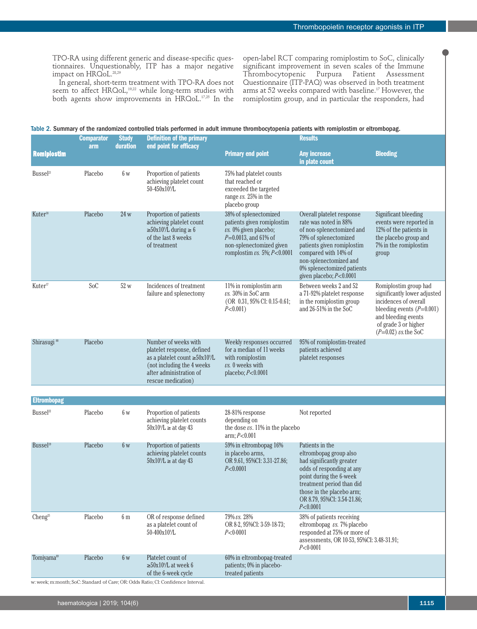TPO-RA using different generic and disease-specific questionnaires. Unquestionably, ITP has a major negative impact on HRQoL.<sup>28,29</sup>

In general, short-term treatment with TPO-RA does not seem to affect HRQoL,<sup>19,22</sup> while long-term studies with both agents show improvements in HRQoL.17,25 In the

open-label RCT comparing romiplostim to SoC, clinically significant improvement in seven scales of the Immune Thrombocytopenic Purpura Patient Assessment Questionnaire (ITP-PAQ) was observed in both treatment arms at 52 weeks compared with baseline.<sup>17</sup> However, the romiplostim group, and in particular the responders, had

|  | Table 2. Summary of the randomized controlled trials performed in adult immune thrombocytopenia patients with romiplostim or eltrombopag. |  |
|--|-------------------------------------------------------------------------------------------------------------------------------------------|--|
|  |                                                                                                                                           |  |

|                         | <b>Comparator</b><br>arm | <b>Study</b><br>duration | <b>Definition of the primary</b><br>end point for efficacy                                                                                                                 |                                                                                                                                                                                 | <b>Results</b>                                                                                                                                                                                                                                    |                                                                                                                                                                                        |  |  |
|-------------------------|--------------------------|--------------------------|----------------------------------------------------------------------------------------------------------------------------------------------------------------------------|---------------------------------------------------------------------------------------------------------------------------------------------------------------------------------|---------------------------------------------------------------------------------------------------------------------------------------------------------------------------------------------------------------------------------------------------|----------------------------------------------------------------------------------------------------------------------------------------------------------------------------------------|--|--|
| <b>Romipiostim</b>      |                          |                          |                                                                                                                                                                            | <b>Primary end point</b>                                                                                                                                                        | <b>Any increase</b><br>in plate count                                                                                                                                                                                                             | <b>Bleeding</b>                                                                                                                                                                        |  |  |
| Bussel <sup>21</sup>    | Placebo                  | 6w                       | Proportion of patients<br>achieving platelet count<br>50-450x10 <sup>9</sup> /L                                                                                            | 75% had platelet counts<br>that reached or<br>exceeded the targeted<br>range $\nu s$ . 25% in the<br>placebo group                                                              |                                                                                                                                                                                                                                                   |                                                                                                                                                                                        |  |  |
| Kuter <sup>18</sup>     | Placebo                  | 24 w                     | Proportion of patients<br>achieving platelet count<br>$\geq 50x10^9/L$ during $\geq 6$<br>of the last 8 weeks<br>of treatment                                              | 38% of splenectomized<br>patients given romiplostim<br>$\nu$ s. 0% given placebo;<br>$P=0.0013$ , and 61% of<br>non-splenectomized given<br>romplostim $\nu s$ . 5%; $P<0.0001$ | Overall platelet response<br>rate was noted in 88%<br>of non-splenectomized and<br>79% of splenectomized<br>patients given romiplostim<br>compared with 14% of<br>non-splenectomized and<br>0% splenectomized patients<br>given placebo; P<0.0001 | Significant bleeding<br>events were reported in<br>12% of the patients in<br>the placebo group and<br>7% in the romiplostim<br>group                                                   |  |  |
| Kuter <sup>17</sup>     | SoC                      | 52 w                     | Incidences of treatment<br>failure and splenectomy                                                                                                                         | 11% in romiplostim arm<br>$\nu$ s. 30% in SoC arm<br>(OR 0.31, 95% CI: 0.15-0.61;<br>$P<0.001$ )                                                                                | Between weeks 2 and 52<br>a 71-92% platelet response<br>in the romiplostim group<br>and 26-51% in the SoC                                                                                                                                         | Romiplostim group had<br>significantly lower adjusted<br>incidences of overall<br>bleeding events $(P=0.001)$<br>and bleeding events<br>of grade 3 or higher<br>$(P=0.02)$ vs. the SoC |  |  |
| Shirasugi <sup>88</sup> | Placebo                  |                          | Number of weeks with<br>platelet response, defined<br>as a platelet count $\geq 50x10^9/L$<br>(not including the 4 weeks)<br>after administration of<br>rescue medication) | Weekly responses occurred<br>for a median of 11 weeks<br>with romiplostim<br>$\nu s. 0$ weeks with<br>placebo; $P<0.0001$                                                       | 95% of romiplostim-treated<br>patients achieved<br>platelet responses                                                                                                                                                                             |                                                                                                                                                                                        |  |  |
| <b>Eltrombopag</b>      |                          |                          |                                                                                                                                                                            |                                                                                                                                                                                 |                                                                                                                                                                                                                                                   |                                                                                                                                                                                        |  |  |
| Bussel <sup>22</sup>    | Placebo                  | 6w                       | Proportion of patients<br>achieving platelet counts<br>$50x10^9/L \ge at day 43$                                                                                           | 28-81% response<br>depending on<br>the dose $\nu s$ . 11% in the placebo<br>arm; P < 0.001                                                                                      | Not reported                                                                                                                                                                                                                                      |                                                                                                                                                                                        |  |  |
| Bussel <sup>19</sup>    | Placebo                  | 6w                       | Proportion of patients<br>achieving platelet counts<br>$50x10^9/L \ge at day 43$                                                                                           | 59% in eltrombopag 16%<br>in placebo arms,<br>OR 9.61, 95%CI: 3.31-27.86;<br>P<0.0001                                                                                           | Patients in the<br>eltrombopag group also<br>had significantly greater<br>odds of responding at any<br>point during the 6-week<br>treatment period than did<br>those in the placebo arm;<br>OR 8.79, 95%CI: 3.54-21.86;<br>P<0.0001               |                                                                                                                                                                                        |  |  |
| Cheng <sup>25</sup>     | Placebo                  | 6 <sub>m</sub>           | OR of response defined<br>as a platelet count of<br>50-400x10 <sup>9</sup> /L                                                                                              | 79% vs. 28%<br>OR 8-2, 95%CI: 3-59-18-73;<br>P < 0.0001                                                                                                                         | 38% of patients receiving<br>eltrombopag vs. 7% placebo<br>responded at 75% or more of<br>assessments, OR 10-53, 95%CI: 3.48-31.91;<br>P < 0.0001                                                                                                 |                                                                                                                                                                                        |  |  |
| Tomiyama <sup>89</sup>  | Placebo                  | 6 w                      | Platelet count of<br>$\geq$ 50x10 <sup>9</sup> /L at week 6<br>of the 6-week cycle<br>w: week; m:month; SoC: Standard of Care; OR: Odds Ratio; CI: Confidence Interval.    | 60% in eltrombopag-treated<br>patients; 0% in placebo-<br>treated patients                                                                                                      |                                                                                                                                                                                                                                                   |                                                                                                                                                                                        |  |  |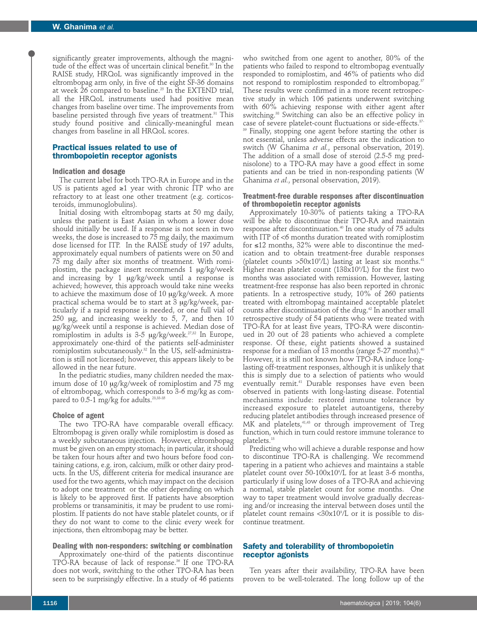significantly greater improvements, although the magnitude of the effect was of uncertain clinical benefit.<sup>30</sup> In the RAISE study, HRQoL was significantly improved in the eltrombopag arm only, in five of the eight SF-36 domains at week 26 compared to baseline.25 In the EXTEND trial, all the HRQoL instruments used had positive mean changes from baseline over time. The improvements from baseline persisted through five years of treatment.<sup>31</sup> This study found positive and clinically-meaningful mean changes from baseline in all HRQoL scores.

## **Practical issues related to use of thrombopoietin receptor agonists**

## **Indication and dosage**

The current label for both TPO-RA in Europe and in the US is patients aged ≥1 year with chronic ITP who are refractory to at least one other treatment (e.g. corticosteroids, immunoglobulins).

Initial dosing with eltrombopag starts at 50 mg daily, unless the patient is East Asian in whom a lower dose should initially be used. If a response is not seen in two weeks, the dose is increased to 75 mg daily, the maximum dose licensed for ITP. In the RAISE study of 197 adults, approximately equal numbers of patients were on 50 and 75 mg daily after six months of treatment. With romiplostim, the package insert recommends 1 μg/kg/week and increasing by 1 μg/kg/week until a response is achieved; however, this approach would take nine weeks to achieve the maximum dose of 10 μg/kg/week. A more practical schema would be to start at 3 μg/kg/week, particularly if a rapid response is needed, or one full vial of 250 μg, and increasing weekly to 5, 7, and then 10 μg/kg/week until a response is achieved. Median dose of romiplostim in adults is 3-5  $\mu$ g/kg/week.<sup>27,32</sup> In Europe, approximately one-third of the patients self-administer romiplostim subcutaneously.32 In the US, self-administration is still not licensed; however, this appears likely to be allowed in the near future.

In the pediatric studies, many children needed the maximum dose of 10 μg/kg/week of romiplostim and 75 mg of eltrombopag, which corresponds to 3-6 mg/kg as compared to 0.5-1 mg/kg for adults.<sup>23,33-35</sup>

#### **Choice of agent**

The two TPO-RA have comparable overall efficacy. Eltrombopag is given orally while romiplostim is dosed as a weekly subcutaneous injection. However, eltrombopag must be given on an empty stomach; in particular, it should be taken four hours after and two hours before food containing cations, e.g. iron, calcium, milk or other dairy products. In the US, different criteria for medical insurance are used for the two agents, which may impact on the decision to adopt one treatment or the other depending on which is likely to be approved first. If patients have absorption problems or transaminitis, it may be prudent to use romiplostim. If patients do not have stable platelet counts, or if they do not want to come to the clinic every week for injections, then eltrombopag may be better.

#### **Dealing with non-responders: switching or combination**

Approximately one-third of the patients discontinue TPO-RA because of lack of response.<sup>36</sup> If one TPO-RA does not work, switching to the other TPO-RA has been seen to be surprisingly effective. In a study of 46 patients

who switched from one agent to another, 80% of the patients who failed to respond to eltrombopag eventually responded to romiplostim, and 46% of patients who did not respond to romiplostim responded to eltrombopag.<sup>37</sup> These results were confirmed in a more recent retrospective study in which 106 patients underwent switching with 60% achieving response with either agent after switching.<sup>38</sup> Switching can also be an effective policy in case of severe platelet-count fluctuations or side-effects.37- <sup>39</sup> Finally, stopping one agent before starting the other is not essential, unless adverse effects are the indication to switch (W Ghanima *et al.*, personal observation, 2019). The addition of a small dose of steroid (2.5-5 mg prednisolone) to a TPO-RA may have a good effect in some patients and can be tried in non-responding patients (W Ghanima *et al.*, personal observation, 2019).

## **Treatment-free durable responses after discontinuation of thrombopoietin receptor agonists**

Approximately 10-30% of patients taking a TPO-RA will be able to discontinue their TPO-RA and maintain response after discontinuation.40 In one study of 75 adults with ITP of <6 months duration treated with romiplostim for ≤12 months, 32% were able to discontinue the medication and to obtain treatment-free durable responses (platelet counts  $>50x10^9$ /L) lasting at least six months.<sup>41</sup> Higher mean platelet count (138x109 /L) for the first two months was associated with remission. However, lasting treatment-free response has also been reported in chronic patients. In a retrospective study, 10% of 260 patients treated with eltrombopag maintained acceptable platelet counts after discontinuation of the drug.<sup>42</sup> In another small retrospective study of 54 patients who were treated with TPO-RA for at least five years, TPO-RA were discontinued in 20 out of 28 patients who achieved a complete response. Of these, eight patients showed a sustained response for a median of 13 months (range 5-27 months).<sup>40</sup> However, it is still not known how TPO-RA induce longlasting off-treatment responses, although it is unlikely that this is simply due to a selection of patients who would eventually remit.<sup>41</sup> Durable responses have even been observed in patients with long-lasting disease. Potential mechanisms include: restored immune tolerance by increased exposure to platelet autoantigens, thereby reducing platelet antibodies through increased presence of MK and platelets,<sup>41,43</sup> or through improvement of Treg function, which in turn could restore immune tolerance to platelets.<sup>13</sup>

Predicting who will achieve a durable response and how to discontinue TPO-RA is challenging. We recommend tapering in a patient who achieves and maintains a stable platelet count over 50-100x109 /L for at least 3-6 months, particularly if using low doses of a TPO-RA and achieving a normal, stable platelet count for some months. One way to taper treatment would involve gradually decreasing and/or increasing the interval between doses until the platelet count remains <30x109 /L or it is possible to discontinue treatment.

# **Safety and tolerability of thrombopoietin receptor agonists**

Ten years after their availability, TPO-RA have been proven to be well-tolerated. The long follow up of the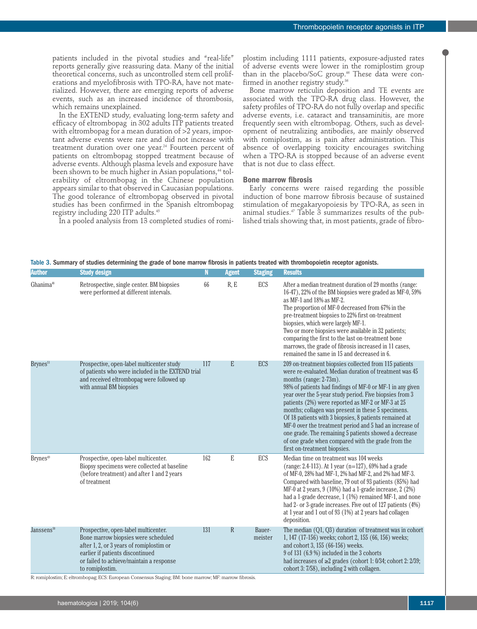patients included in the pivotal studies and "real-life" reports generally give reassuring data. Many of the initial theoretical concerns, such as uncontrolled stem cell proliferations and myelofibrosis with TPO-RA, have not materialized. However, there are emerging reports of adverse events, such as an increased incidence of thrombosis, which remains unexplained.

In the EXTEND study, evaluating long-term safety and efficacy of eltrombopag in 302 adults ITP patients treated with eltrombopag for a mean duration of >2 years, important adverse events were rare and did not increase with treatment duration over one year.<sup>24</sup> Fourteen percent of patients on eltrombopag stopped treatment because of adverse events. Although plasma levels and exposure have been shown to be much higher in Asian populations,<sup>44</sup> tolerability of eltrombopag in the Chinese population appears similar to that observed in Caucasian populations. The good tolerance of eltrombopag observed in pivotal studies has been confirmed in the Spanish eltrombopag registry including 220 ITP adults.45

In a pooled analysis from 13 completed studies of romi-

plostim including 1111 patients, exposure-adjusted rates of adverse events were lower in the romiplostim group than in the placebo/SoC group.<sup>46</sup> These data were confirmed in another registry study.36

Bone marrow reticulin deposition and TE events are associated with the TPO-RA drug class. However, the safety profiles of TPO-RA do not fully overlap and specific adverse events, i.e. cataract and transaminitis, are more frequently seen with eltrombopag. Others, such as development of neutralizing antibodies, are mainly observed with romiplostim, as is pain after administration. This absence of overlapping toxicity encourages switching when a TPO-RA is stopped because of an adverse event that is not due to class effect.

## **Bone marrow fibrosis**

Early concerns were raised regarding the possible induction of bone marrow fibrosis because of sustained stimulation of megakaryopoiesis by TPO-RA, as seen in animal studies.<sup>47</sup> Table 3 summarizes results of the published trials showing that, in most patients, grade of fibro-

Table 3. Summary of studies determining the grade of bone marrow fibrosis in patients treated with thrombopoietin receptor agonists.

| <b>Author</b>          | <b>Study design</b>                                                                                                                                                                                                        | N   | <b>Agent</b> | <b>Staging</b>    | <b>Results</b>                                                                                                                                                                                                                                                                                                                                                                                                                                                                                                                                                                                                                                      |
|------------------------|----------------------------------------------------------------------------------------------------------------------------------------------------------------------------------------------------------------------------|-----|--------------|-------------------|-----------------------------------------------------------------------------------------------------------------------------------------------------------------------------------------------------------------------------------------------------------------------------------------------------------------------------------------------------------------------------------------------------------------------------------------------------------------------------------------------------------------------------------------------------------------------------------------------------------------------------------------------------|
| Ghanima <sup>48</sup>  | Retrospective, single center. BM biopsies<br>were performed at different intervals.                                                                                                                                        | 66  | R, E         | ECS               | After a median treatment duration of 29 months (range:<br>16-47), 22% of the BM biopsies were graded as MF-0, 59%<br>as MF-1 and 18% as MF-2.<br>The proportion of MF-0 decreased from 67% in the<br>pre-treatment biopsies to 22% first on-treatment<br>biopsies, which were largely MF-1.<br>Two or more biopsies were available in 32 patients;<br>comparing the first to the last on-treatment bone<br>marrows, the grade of fibrosis increased in 11 cases,<br>remained the same in 15 and decreased in 6.                                                                                                                                     |
| Brynes <sup>51</sup>   | Prospective, open-label multicenter study<br>of patients who were included in the EXTEND trial<br>and received eltrombopag were followed up<br>with annual BM biopsies                                                     | 117 | E            | <b>ECS</b>        | 209 on-treatment biopsies collected from 115 patients<br>were re-evaluated. Median duration of treatment was 45<br>months (range: $2-73m$ ).<br>98% of patients had findings of MF-0 or MF-1 in any given<br>year over the 5-year study period. Five biopsies from 3<br>patients (2%) were reported as MF-2 or MF-3 at 25<br>months; collagen was present in these 5 specimens.<br>Of 18 patients with 3 biopsies, 8 patients remained at<br>MF-0 over the treatment period and 5 had an increase of<br>one grade. The remaining 5 patients showed a decrease<br>of one grade when compared with the grade from the<br>first on-treatment biopsies. |
| Brynes <sup>49</sup>   | Prospective, open-label multicenter.<br>Biopsy specimens were collected at baseline<br>(before treatment) and after 1 and 2 years<br>of treatment                                                                          | 162 | E            | ECS               | Median time on treatment was 104 weeks<br>(range: 2.4-113). At 1 year (n=127), 69% had a grade<br>of MF-0, 28% had MF-1, 2% had MF-2, and 2% had MF-3.<br>Compared with baseline, 79 out of 93 patients (85%) had<br>MF-0 at 2 years, $9(10\%)$ had a 1-grade increase, $2(2\%)$<br>had a 1-grade decrease, 1 (1%) remained MF-1, and none<br>had 2- or 3-grade increases. Five out of 127 patients (4%)<br>at 1 year and 1 out of 93 (1%) at 2 years had collagen<br>deposition.                                                                                                                                                                   |
| Janssens <sup>50</sup> | Prospective, open-label multicenter.<br>Bone marrow biopsies were scheduled<br>after 1, 2, or 3 years of romiplostim or<br>earlier if patients discontinued<br>or failed to achieve/maintain a response<br>to romiplostim. | 131 | R            | Bauer-<br>meister | The median $(Q1, Q3)$ duration of treatment was in cohort<br>1, 147 (17-156) weeks; cohort 2, 155 (66, 156) weeks;<br>and cohort 3, 155 (66-156) weeks.<br>9 of 131 (6.9 %) included in the 3 cohorts<br>had increases of $\geq 2$ grades (cohort 1: 0/34; cohort 2: 2/39;<br>cohort 3: 7/58), including 2 with collagen.                                                                                                                                                                                                                                                                                                                           |

R: romiplostim; E: eltrombopag; ECS: European Consensus Staging; BM: bone marrow; MF: marrow fibrosis.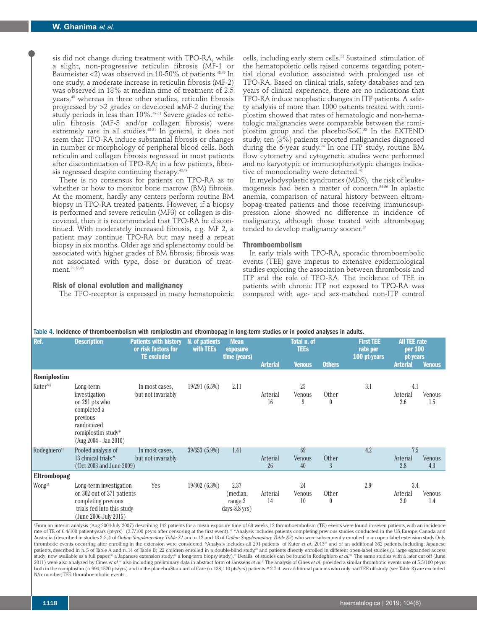sis did not change during treatment with TPO-RA, while a slight, non-progressive reticulin fibrosis (MF-1 or Baumeister <2) was observed in 10-50% of patients.<sup>48,49</sup> In one study, a moderate increase in reticulin fibrosis (MF-2) was observed in 18% at median time of treatment of 2.5 years,48 whereas in three other studies, reticulin fibrosis progressed by >2 grades or developed ≥MF-2 during the study periods in less than 10%.<sup>49-51</sup> Severe grades of reticulin fibrosis (MF-3 and/or collagen fibrosis) were extremely rare in all studies.<sup>48-51</sup> In general, it does not seem that TPO-RA induce substantial fibrosis or changes in number or morphology of peripheral blood cells. Both reticulin and collagen fibrosis regressed in most patients after discontinuation of TPO-RA; in a few patients, fibrosis regressed despite continuing therapy.<sup>48,49</sup>

There is no consensus for patients on TPO-RA as to whether or how to monitor bone marrow (BM) fibrosis. At the moment, hardly any centers perform routine BM biopsy in TPO-RA treated patients. However, if a biopsy is performed and severe reticulin (MF3) or collagen is discovered, then it is recommended that TPO-RA be discontinued. With moderately increased fibrosis, e.g. MF 2, a patient may continue TPO-RA but may need a repeat biopsy in six months. Older age and splenectomy could be associated with higher grades of BM fibrosis; fibrosis was not associated with type, dose or duration of treatment.<sup>20,27,48</sup>

## **Risk of clonal evolution and malignancy**

The TPO-receptor is expressed in many hematopoietic

cells, including early stem cells.<sup>52</sup> Sustained stimulation of the hematopoietic cells raised concerns regarding potential clonal evolution associated with prolonged use of TPO-RA. Based on clinical trials, safety databases and ten years of clinical experience, there are no indications that TPO-RA induce neoplastic changes in ITP patients. A safety analysis of more than 1000 patients treated with romiplostim showed that rates of hematologic and non-hematologic malignancies were comparable between the romiplostim group and the placebo/SoC.<sup>53</sup> In the EXTEND study, ten (3%) patients reported malignancies diagnosed during the 6-year study.<sup>24</sup> In one ITP study, routine BM flow cytometry and cytogenetic studies were performed and no karyotypic or immunophenotypic changes indicative of monoclonality were detected.<sup>4</sup>

In myelodysplastic syndromes (MDS), the risk of leukemogenesis had been a matter of concern.54-56 In aplastic anemia, comparison of natural history between eltrombopag-treated patients and those receiving immunosuppression alone showed no difference in incidence of malignancy, although those treated with eltrombopag tended to develop malignancy sooner.<sup>57</sup>

## **Thromboembolism**

In early trials with TPO-RA, sporadic thromboembolic events (TEE) gave impetus to extensive epidemiological studies exploring the association between thrombosis and ITP and the role of TPO-RA. The incidence of TEE in patients with chronic ITP not exposed to TPO-RA was compared with age- and sex-matched non-ITP control

| Table 4. Incidence of thromboembolism with romiplostim and eltrombopag in long-term studies or in pooled analyses in adults. |  |  |
|------------------------------------------------------------------------------------------------------------------------------|--|--|
|------------------------------------------------------------------------------------------------------------------------------|--|--|

| Ref.                     | <b>Description</b>                                                                                                                     | <b>Patients with history</b><br>or risk factors for<br><b>TE</b> excluded | N. of patients<br>with TEEs | <b>Mean</b><br>exposure<br>time (years)        | Total n. of<br><b>TEEs</b> |                    |                         | <b>First TEE</b><br>rate per<br>100 pt-years | <b>All TEE rate</b><br>per 100<br>pt-years |               |
|--------------------------|----------------------------------------------------------------------------------------------------------------------------------------|---------------------------------------------------------------------------|-----------------------------|------------------------------------------------|----------------------------|--------------------|-------------------------|----------------------------------------------|--------------------------------------------|---------------|
|                          |                                                                                                                                        |                                                                           |                             |                                                | <b>Arterial</b>            | <b>Venous</b>      | <b>Others</b>           |                                              | <b>Arterial</b>                            | <b>Venous</b> |
| Romiplostim              |                                                                                                                                        |                                                                           |                             |                                                |                            |                    |                         |                                              |                                            |               |
| Kuter <sup>27§</sup>     | Long-term<br>investigation<br>on 291 pts who<br>completed a<br>previous<br>randomized<br>romiplostim study*<br>$(Aug 2004 - Jan 2010)$ | In most cases,<br>but not invariably                                      | 19/291 (6.5%)               | 2.11                                           | Arterial<br>16             | 25<br>Venous<br>9  | Other<br>0              | 3.1                                          | 4.1<br>Arterial<br>2.6                     | Venous<br>1.5 |
| Rodeghiero <sup>53</sup> | Pooled analysis of<br>13 clinical trials <sup>^</sup><br>(Oct 2003 and June 2009)                                                      | In most cases,<br>but not invariably                                      | 39/653 (5.9%)               | 1.41                                           | Arterial<br>26             | 69<br>Venous<br>40 | Other<br>$\mathfrak{Z}$ | 4.2                                          | 7.5<br>Arterial<br>2.8                     | Venous<br>4.3 |
| Eltrombopag              |                                                                                                                                        |                                                                           |                             |                                                |                            |                    |                         |                                              |                                            |               |
| Wong <sup>24</sup>       | Long-term investigation<br>on 302 out of 371 patients<br>completing previous<br>trials fed into this study<br>(June 2006-July 2015)    | Yes                                                                       | 19/302 (6.3%)               | 2.37<br>(median,<br>range 2<br>$days-8.8$ yrs) | Arterial<br>14             | 24<br>Venous<br>10 | Other<br>0              | $2.9*$                                       | 3.4<br>Arterial<br>2.0                     | Venous<br>1.4 |

§ From an interim analysis (Aug 2004-July 2007) describing 142 patients for a mean exposure time of 69 weeks, 12 thromboembolism (TE) events were found in seven patients, with an incidence rate of TE of 6.4/100 patient-years (pt-yrs) (3.7/100 pt-yrs after censoring at the first event).<sup>20</sup> \*Analysis includes patients completing previous studies conducted in the US, Europe, Canada and Australia (described in studies 2, 3, 4 of *Online Supplementary Table S1* and n. 12 and 13 of *Online Supplementary Table S2*) who were subsequently enrolled in an open label extension study. Only thrombotic events occurring after enrolling in the extension were considered. ^Analysis includes all 291 patients of Kuter et al., 2013<sup>T</sup> and of an additional 362 patients, including: Japanese patients, described in n.5 of Table A and n. 14 of Table B; 22 children enrolled in a double-blind study," and patients directly enrolled in different open-label studies (a large expanded access<br>study, now available as a f 2011) were also analyzed by Cines *et al.*<sup>46</sup> also including preliminary data in abstract form of Janssens *et al.*<sup>50</sup> The analysis of Cines *et al.* provided a similar thrombotic events rate of 5.5/100 pt-yrs both in the romiplostim (n. 994, 1520 pts/yrs) and in the placebo/Standard of Care (n. 138, 110 pts/yrs) patients. # 2.7 if two additional patients who only had TEE off-study (see Table 3) are excluded. N/n: number; TEE: thromboembolic events.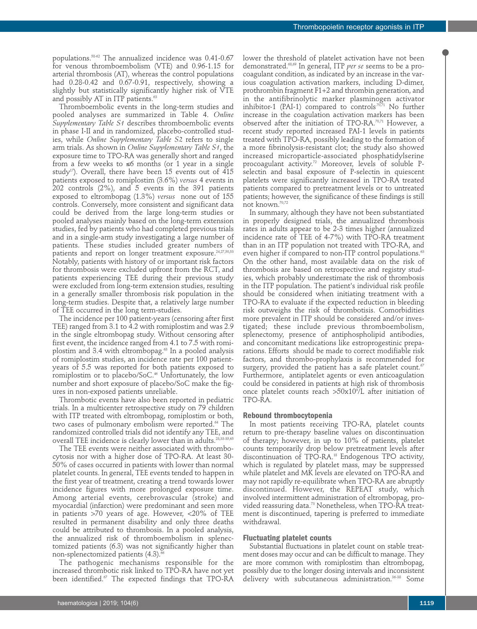populations.58-62 The annualized incidence was 0.41-0.67 for venous thromboembolism (VTE) and 0.96-1.15 for arterial thrombosis (AT), whereas the control populations had 0.28-0.42 and 0.67-0.91, respectively, showing a slightly but statistically significantly higher risk of VTE and possibly AT in ITP patients.<sup>63</sup>

Thromboembolic events in the long-term studies and pooled analyses are summarized in Table 4. *Online Supplementary Table S1* describes thromboembolic events in phase I-II and in randomized, placebo-controlled studies, while *Online Supplementary Table S2* refers to single arm trials. As shown in *Online Supplementary Table S1*, the exposure time to TPO-RA was generally short and ranged from a few weeks to ≤6 months (or 1 year in a single study<sup>17</sup>). Overall, there have been 15 events out of  $\overline{415}$ patients exposed to romiplostim (3.6%) *versus* 4 events in 202 controls (2%), and 5 events in the 391 patients exposed to eltrombopag (1.3%) *versus* none out of 155 controls. Conversely, more consistent and significant data could be derived from the large long-term studies or pooled analyses mainly based on the long-term extension studies, fed by patients who had completed previous trials and in a single-arm study investigating a large number of patients. These studies included greater numbers of patients and report on longer treatment exposure.<sup>24,27,50,53</sup> Notably, patients with history of or important risk factors for thrombosis were excluded upfront from the RCT, and patients experiencing TEE during their previous study were excluded from long-term extension studies, resulting in a generally smaller thrombosis risk population in the long-term studies. Despite that, a relatively large number of TEE occurred in the long term-studies.

The incidence per 100 patient-years (censoring after first TEE) ranged from 3.1 to 4.2 with romiplostim and was 2.9 in the single eltrombopag study. Without censoring after first event, the incidence ranged from 4.1 to 7.5 with romiplostim and 3.4 with eltrombopag.<sup>63</sup> In a pooled analysis of romiplostim studies, an incidence rate per 100 patientyears of 5.5 was reported for both patients exposed to romiplostim or to placebo/SoC.<sup>46</sup> Unfortunately, the low number and short exposure of placebo/SoC make the figures in non-exposed patients unreliable.

Thrombotic events have also been reported in pediatric trials. In a multicenter retrospective study on 79 children with ITP treated with eltrombopag, romiplostim or both, two cases of pulmonary embolism were reported.<sup>64</sup> The randomized controlled trials did not identify any TEE, and overall TEE incidence is clearly lower than in adults.23,33-35,65

The TEE events were neither associated with thrombocytosis nor with a higher dose of TPO-RA. At least 30- 50% of cases occurred in patients with lower than normal platelet counts. In general, TEE events tended to happen in the first year of treatment, creating a trend towards lower incidence figures with more prolonged exposure time. Among arterial events, cerebrovascular (stroke) and myocardial (infarction) were predominant and seen more in patients  $>70$  years of age. However,  $<20\%$  of TEE resulted in permanent disability and only three deaths could be attributed to thrombosis. In a pooled analysis, the annualized risk of thromboembolism in splenectomized patients (6.3) was not significantly higher than non-splenectomized patients (4.3).<sup>6</sup>

The pathogenic mechanisms responsible for the increased thrombotic risk linked to TPO-RA have not yet been identified.<sup>67</sup> The expected findings that TPO-RA lower the threshold of platelet activation have not been demonstrated.68,69 In general, ITP *per se* seems to be a procoagulant condition, as indicated by an increase in the various coagulation activation markers, including D-dimer, prothrombin fragment F1+2 and thrombin generation, and in the antifibrinolytic marker plasminogen activator inhibitor-1 (PAI-1) compared to controls<sup> $70,71$ </sup> No further increase in the coagulation activation markers has been observed after the initiation of TPO-RA.70,71 However, a recent study reported increased PAI-1 levels in patients treated with TPO-RA, possibly leading to the formation of a more fibrinolysis-resistant clot; the study also showed increased microparticle-associated phosphatidylserine procoagulant activity.<sup>72</sup> Moreover, levels of soluble Pselectin and basal exposure of P-selectin in quiescent platelets were significantly increased in TPO-RA treated patients compared to pretreatment levels or to untreated patients; however, the significance of these findings is still not known.70,72

In summary, although they have not been substantiated in properly designed trials, the annualized thrombosis rates in adults appear to be 2-3 times higher (annualized incidence rate of TEE of 4-7%) with TPO-RA treatment than in an ITP population not treated with TPO-RA, and even higher if compared to non-ITP control populations.<sup>63</sup> On the other hand, most available data on the risk of thrombosis are based on retrospective and registry studies, which probably underestimate the risk of thrombosis in the ITP population. The patient's individual risk profile should be considered when initiating treatment with a TPO-RA to evaluate if the expected reduction in bleeding risk outweighs the risk of thrombotisis. Comorbidities more prevalent in ITP should be considered and/or investigated; these include previous thromboembolism, splenectomy, presence of antiphospholipid antibodies, and concomitant medications like estroprogestinic preparations. Efforts should be made to correct modifiable risk factors, and thrombo-prophylaxis is recommended for surgery, provided the patient has a safe platelet count.<sup>67</sup> Furthermore, antiplatelet agents or even anticoagulation could be considered in patients at high risk of thrombosis once platelet counts reach >50x10<sup>9</sup>/L after initiation of TPO-RA.

#### **Rebound thrombocytopenia**

In most patients receiving TPO-RA, platelet counts return to pre-therapy baseline values on discontinuation of therapy; however, in up to 10% of patients, platelet counts temporarily drop below pretreatment levels after discontinuation of TPO-RA.18 Endogenous TPO activity, which is regulated by platelet mass, may be suppressed while platelet and MK levels are elevated on TPO-RA and may not rapidly re-equilibrate when TPO-RA are abruptly discontinued. However, the REPEAT study, which involved intermittent administration of eltrombopag, provided reassuring data.<sup>73</sup> Nonetheless, when TPO-RA treatment is discontinued, tapering is preferred to immediate withdrawal.

# **Fluctuating platelet counts**

Substantial fluctuations in platelet count on stable treatment doses may occur and can be difficult to manage. They are more common with romiplostim than eltrombopag, possibly due to the longer dosing intervals and inconsistent delivery with subcutaneous administration.36-38 Some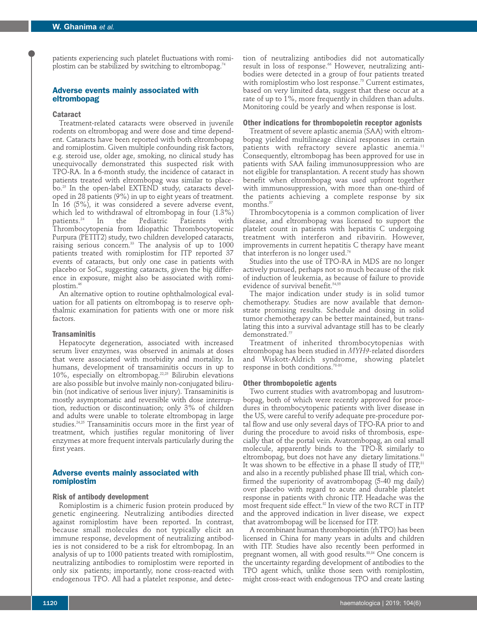patients experiencing such platelet fluctuations with romiplostim can be stabilized by switching to eltrombopag.<sup>74</sup>

# **Adverse events mainly associated with eltrombopag**

### **Cataract**

Treatment-related cataracts were observed in juvenile rodents on eltrombopag and were dose and time dependent. Cataracts have been reported with both eltrombopag and romiplostim. Given multiple confounding risk factors, e.g. steroid use, older age, smoking, no clinical study has unequivocally demonstrated this suspected risk with TPO-RA. In a 6-month study, the incidence of cataract in patients treated with eltrombopag was similar to placebo.25 In the open-label EXTEND study, cataracts developed in 28 patients (9%) in up to eight years of treatment. In 16 (5%), it was considered a severe adverse event, which led to withdrawal of eltrombopag in four (1.3%)<br>patients.<sup>24</sup> In the Pediatric Patients with Pediatric Patients with Thrombocytopenia from Idiopathic Thrombocytopenic Purpura (PETIT2) study, two children developed cataracts, raising serious concern.<sup>33</sup> The analysis of up to 1000 patients treated with romiplostim for ITP reported 37 events of cataracts, but only one case in patients with placebo or SoC, suggesting cataracts, given the big difference in exposure, might also be associated with romiplostim.46

An alternative option to routine ophthalmological evaluation for all patients on eltrombopag is to reserve ophthalmic examination for patients with one or more risk factors.

#### **Transaminitis**

Hepatocyte degeneration, associated with increased serum liver enzymes, was observed in animals at doses that were associated with morbidity and mortality. In humans, development of transaminitis occurs in up to 10%, especially on eltrombopag.22,25 Bilirubin elevations are also possible but involve mainly non-conjugated bilirubin (not indicative of serious liver injury). Transaminitis is mostly asymptomatic and reversible with dose interruption, reduction or discontinuation; only 3% of children and adults were unable to tolerate eltrombopag in large studies.24,25 Transaminitis occurs more in the first year of treatment, which justifies regular monitoring of liver enzymes at more frequent intervals particularly during the first years.

# **Adverse events mainly associated with romiplostim**

# **Risk of antibody development**

Romiplostim is a chimeric fusion protein produced by genetic engineering. Neutralizing antibodies directed against romiplostim have been reported. In contrast, because small molecules do not typically elicit an immune response, development of neutralizing antibodies is not considered to be a risk for eltrombopag. In an analysis of up to 1000 patients treated with romiplostim, neutralizing antibodies to romiplostim were reported in only six patients; importantly, none cross-reacted with endogenous TPO. All had a platelet response, and detec-

## **Other indications for thrombopoietin receptor agonists**

Treatment of severe aplastic anemia (SAA) with eltrombopag yielded multilineage clinical responses in certain patients with refractory severe aplastic anemia.<sup>11</sup> Consequently, eltrombopag has been approved for use in patients with SAA failing immunosuppression who are not eligible for transplantation. A recent study has shown benefit when eltrombopag was used upfront together with immunosuppression, with more than one-third of the patients achieving a complete response by six months.<sup>57</sup>

Thrombocytopenia is a common complication of liver disease, and eltrombopag was licensed to support the platelet count in patients with hepatitis C undergoing treatment with interferon and ribavirin. However, improvements in current hepatitis C therapy have meant that interferon is no longer used.<sup>76</sup>

Studies into the use of TPO-RA in MDS are no longer actively pursued, perhaps not so much because of the risk of induction of leukemia, as because of failure to provide evidence of survival benefit.<sup>54,5</sup>

The major indication under study is in solid tumor chemotherapy. Studies are now available that demonstrate promising results. Schedule and dosing in solid tumor chemotherapy can be better maintained, but translating this into a survival advantage still has to be clearly demonstrated.77

Treatment of inherited thrombocytopenias with eltrombopag has been studied in *MYH9-*related disorders and Wiskott-Aldrich syndrome, showing platelet response in both conditions.<sup>78-8</sup>

### **Other thrombopoietic agents**

Two current studies with avatrombopag and lusutrombopag, both of which were recently approved for procedures in thrombocytopenic patients with liver disease in the US, were careful to verify adequate pre-procedure portal flow and use only several days of TPO-RA prior to and during the procedure to avoid risks of thrombosis, especially that of the portal vein. Avatrombopag, an oral small molecule, apparently binds to the TPO-R similarly to eltrombopag, but does not have any dietary limitations.<sup>81</sup> It was shown to be effective in a phase II study of ITP,<sup>81</sup> and also in a recently published phase III trial, which confirmed the superiority of avatrombopag (5-40 mg daily) over placebo with regard to acute and durable platelet response in patients with chronic ITP. Headache was the most frequent side effect.<sup>82</sup> In view of the two RCT in ITP and the approved indication in liver disease, we expect that avatrombopag will be licensed for ITP.

A recombinant human thrombopoietin (rhTPO) has been licensed in China for many years in adults and children with ITP. Studies have also recently been performed in pregnant women, all with good results.<sup>83,84</sup> One concern is the uncertainty regarding development of antibodies to the TPO agent which, unlike those seen with romiplostim, might cross-react with endogenous TPO and create lasting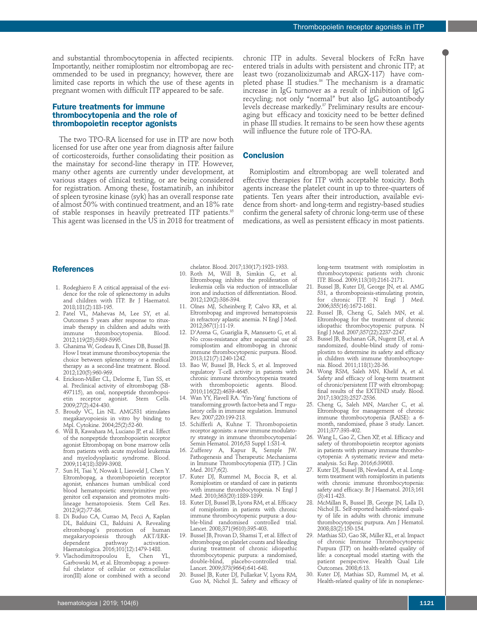and substantial thrombocytopenia in affected recipients. Importantly, neither romiplostim nor eltrombopag are recommended to be used in pregnancy; however, there are limited case reports in which the use of these agents in pregnant women with difficult ITP appeared to be safe.

# **Future treatments for immune thrombocytopenia and the role of thrombopoietin receptor agonists**

The two TPO-RA licensed for use in ITP are now both licensed for use after one year from diagnosis after failure of corticosteroids, further consolidating their position as the mainstay for second-line therapy in ITP. However, many other agents are currently under development, at various stages of clinical testing, or are being considered for registration. Among these, fostamatinib, an inhibitor of spleen tyrosine kinase (syk) has an overall response rate of almost 50% with continued treatment, and an 18% rate of stable responses in heavily pretreated ITP patients.<sup>85</sup> This agent was licensed in the US in 2018 for treatment of chronic ITP in adults. Several blockers of FcRn have entered trials in adults with persistent and chronic ITP; at least two (rozanolixizumab and ARGX-117) have completed phase II studies.<sup>86</sup> The mechanism is a dramatic increase in IgG turnover as a result of inhibition of IgG recycling; not only "normal" but also IgG autoantibody levels decrease markedly.<sup>87</sup> Preliminary results are encouraging but efficacy and toxicity need to be better defined in phase III studies. It remains to be seen how these agents will influence the future role of TPO-RA.

# **Conclusion**

Romiplostim and eltrombopag are well tolerated and effective therapies for ITP with acceptable toxicity. Both agents increase the platelet count in up to three-quarters of patients. Ten years after their introduction, available evidence from short- and long-term and registry-based studies confirm the general safety of chronic long-term use of these medications, as well as persistent efficacy in most patients.

## **References**

- 1. Rodeghiero F. A critical appraisal of the evidence for the role of splenectomy in adults and children with ITP. Br J Haematol. 2018;181(2):183-195.
- 2. Patel VL, Mahevas M, Lee SY, et al. Outcomes 5 years after response to rituximab therapy in children and adults with<br>immune thrombocytopenia. Blood. immunder thrombocytopenia. 2012;119(25):5989-5995.
- 3. Ghanima W, Godeau B, Cines DB, Bussel JB. How I treat immune thrombocytopenia: the choice between splenectomy or a medical therapy as a second-line treatment. Blood. 2012;120(5):960-969.
- 4. Erickson-Miller CL, Delorme E, Tian SS, et al. Preclinical activity of eltrombopag (SB-497115), an oral, nonpeptide thrombopoietin receptor agonist. Stem Cells. 2009;27(2):424-430.
- 5. Broudy VC, Lin NL. AMG531 stimulates megakaryopoiesis in vitro by binding to Mpl. Cytokine. 2004;25(2):52-60.
- 6. Will B, Kawahara M, Luciano JP, et al. Effect of the nonpeptide thrombopoietin receptor agonist Eltrombopag on bone marrow cells from patients with acute myeloid leukemia and myelodysplastic syndrome. Blood. 2009;114(18):3899-3908.
- 7. Sun H, Tsai Y, Nowak I, Liesveld J, Chen Y. Eltrombopag, a thrombopoietin receptor agonist, enhances human umbilical cord blood hematopoietic stem/primitive progenitor cell expansion and promotes multilineage hematopoiesis. Stem Cell Res. 2012;9(2):77-86.
- 8. Di Buduo CA, Currao M, Pecci A, Kaplan DL, Balduini CL, Balduini A. Revealing eltrombopag's promotion of human megakaryopoiesis through AKT/ERK-<br>dependent pathway activation. pathway Haematologica. 2016;101(12):1479-1488.
- 9. Vlachodimitropoulou E, Garbowski M, et al. Eltrombopag: a powerful chelator of cellular or extracellular iron(III) alone or combined with a second

chelator. Blood. 2017;130(17):1923-1933.

- 10. Roth M, Will B, Simkin G, et al. Eltrombopag inhibits the proliferation of leukemia cells via reduction of intracellular iron and induction of differentiation. Blood. 2012;120(2):386-394.
- 11. Olnes MJ, Scheinberg P, Calvo KR, et al. Eltrombopag and improved hematopoiesis in refractory aplastic anemia. N Engl J Med. 2012;367(1):11-19.
- 12. D'Arena G, Guariglia R, Mansueto G, et al. No cross-resistance after sequential use of romiplostim and eltrombopag in chronic immune thrombocytopenic purpura. Blood. 2013;121(7):1240-1242.
- 13. Bao W, Bussel JB, Heck S, et al. Improved regulatory T-cell activity in patients with chronic immune thrombocytopenia treated<br>with thrombopoietic agents. Blood. with thrombopoietic 2010;116(22):4639-4645.
- 14. Wan YY, Flavell RA. 'Yin-Yang' functions of transforming growth factor-beta and T regulatory cells in immune regulation. Immunol Rev. 2007;220:199-213.
- 15. Schifferli A, Kuhne T. Thrombopoietin receptor agonists: a new immune modulatory strategy in immune thrombocytopenia? Semin Hematol. 2016;53 Suppl 1:S31-4.
- 16. Zufferey A, Kapur R, Semple JW. Pathogenesis and Therapeutic Mechanisms in Immune Thrombocytopenia (ITP). J Clin Med. 2017;6(2).
- 17. Kuter DJ, Rummel M, Boccia R, et al. Romiplostim or standard of care in patients with immune thrombocytopenia. N Engl J Med. 2010;363(20):1889-1899.
- 18. Kuter DJ, Bussel JB, Lyons RM, et al. Efficacy of romiplostim in patients with chronic immune thrombocytopenic purpura: a double-blind randomised controlled trial. Lancet. 2008;371(9610):395-403.
- 19. Bussel JB, Provan D, Shamsi T, et al. Effect of eltrombopag on platelet counts and bleeding during treatment of chronic idiopathic thrombocytopenic purpura: a randomised, double-blind, placebo-controlled trial. Lancet. 2009;373(9664):641-648.
- 20. Bussel JB, Kuter DJ, Pullarkat V, Lyons RM, Guo M, Nichol JL. Safety and efficacy of

long-term treatment with romiplostim in thrombocytopenic patients with chronic ITP. Blood. 2009;113(10):2161-2171.

- 21. Bussel JB, Kuter DJ, George JN, et al. AMG 531, a thrombopoiesis-stimulating protein, for chronic ITP. N Engl J Med. 2006;355(16):1672-1681.
- 22. Bussel JB, Cheng G, Saleh MN, et al. Eltrombopag for the treatment of chronic idiopathic thrombocytopenic purpura. N Engl J Med. 2007;357(22):2237-2247.
- 23. Bussel JB, Buchanan GR, Nugent DJ, et al. A randomized, double-blind study of romiplostim to determine its safety and efficacy in children with immune thrombocytopenia. Blood. 2011;118(1):28-36.
- 24. Wong RSM, Saleh MN, Khelif A, et al. Safety and efficacy of long-term treatment of chronic/persistent ITP with eltrombopag: final results of the EXTEND study. Blood. 2017;130(23):2527-2536.
- 25. Cheng G, Saleh MN, Marcher C, et al. Eltrombopag for management of chronic immune thrombocytopenia (RAISE): a 6 month, randomised, phase 3 study. Lancet. 2011;377:393-402.
- 26. Wang L, Gao Z, Chen XP, et al. Efficacy and safety of thrombopoietin receptor agonists in patients with primary immune thrombocytopenia: A systematic review and metaanalysis. Sci Rep. 2016;6:39003.
- 27. Kuter DJ, Bussel JB, Newland A, et al. Longterm treatment with romiplostim in patients with chronic immune thrombocytopenia: safety and efficacy. Br J Haematol. 2013;161 (3):411-423.
- 28. McMillan R, Bussel JB, George JN, Lalla D, Nichol JL. Self-reported health-related quality of life in adults with chronic immune thrombocytopenic purpura. Am J Hematol. 2008;83(2):150-154.
- 29. Mathias SD, Gao SK, Miller KL, et al. Impact of chronic Immune Thrombocytopenic Purpura (ITP) on health-related quality of life: a conceptual model starting with the patient perspective. Health Qual Life Outcomes. 2008;6:13.
- 30. Kuter DJ, Mathias SD, Rummel M, et al. Health-related quality of life in nonsplenec-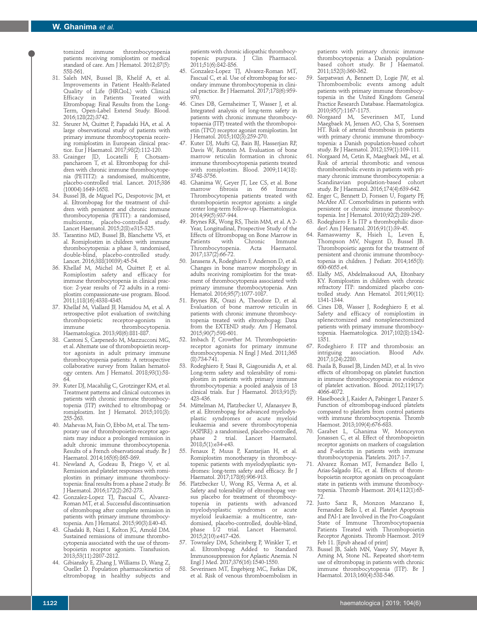tomized immune thrombocytopenia patients receiving romiplostim or medical standard of care. Am J Hematol. 2012;87(5): 558-561.

- 31. Saleh MN, Bussel JB, Khelif A, et al. Improvements in Patient Health-Related Quality of Life (HRQoL) with Clinical Efficacy in Patients Treated with Eltrombopag: Final Results from the Long-Term, Open-Label Extend Study. Blood. 2016;128(22):3742.
- 32. Steurer M, Quittet P, Papadaki HA, et al. A large observational study of patients with primary immune thrombocytopenia receiving romiplostim in European clinical practice. Eur J Haematol. 2017;98(2):112-120.
- 33. Grainger JD, Locatelli F, Chotsam pancharoen T, et al. Eltrombopag for children with chronic immune thrombocytopenia (PETIT2): a randomised, multicentre, placebo-controlled trial. Lancet. 2015;386 (10004):1649-1658.
- 34. Bussel JB, de Miguel PG, Despotovic JM, et al. Eltrombopag for the treatment of children with persistent and chronic immune thrombocytopenia (PETIT): a randomised, multicentre, placebo-controlled study. Lancet Haematol. 2015;2(8):e315-325.
- 35. Tarantino MD, Bussel JB, Blanchette VS, et al. Romiplostim in children with immune thrombocytopenia: a phase 3, randomised, double-blind, placebo-controlled study. Lancet. 2016;388(10039):45-54.
- 36. Khellaf M, Michel M, Quittet P, et al. Romiplostim safety and efficacy for immune thrombocytopenia in clinical practice: 2-year results of 72 adults in a romiplostim compassionate-use program. Blood. 2011;118(16):4338-4345.
- 37. Khellaf M, Viallard JF, Hamidou M, et al. A retrospective pilot evaluation of switching thrombopoietic receptor-agonists in thrombocytopenia. Haematologica. 2013;98(6):881-887.
- 38. Cantoni S, Carpenedo M, Mazzucconi MG, et al. Alternate use of thrombopoietin receptor agonists in adult primary immune thrombocytopenia patients: A retrospective collaborative survey from Italian hematology centers. Am J Hematol. 2018;93(1):58- 64.
- 39. Kuter DJ, Macahilig C, Grotzinger KM, et al. Treatment patterns and clinical outcomes in patients with chronic immune thrombocytopenia (ITP) switched to eltrombopag or romiplostim. Int J Hematol. 2015;101(3): 255-263.
- 40. Mahevas M, Fain O, Ebbo M, et al. The temporary use of thrombopoietin-receptor agonists may induce a prolonged remission in adult chronic immune thrombocytopenia. Results of a French observational study. Br J Haematol. 2014;165(6):865-869.
- 41. Newland A, Godeau B, Priego V, et al. Remission and platelet responses with romiplostim in primary immune thrombocytopenia: final results from a phase 2 study. Br J Haematol. 2016;172(2):262-273.
- 42. Gonzalez-Lopez TJ, Pascual C, Alvarez-Roman MT, et al. Successful discontinuation of eltrombopag after complete remission in patients with primary immune thrombocytopenia. Am J Hematol. 2015;90(3):E40-43.
- 43. Ghadaki B, Nazi I, Kelton JG, Arnold DM. Sustained remissions of immune thrombocytopenia associated with the use of thrombopoietin receptor agonists. Transfusion. 2013;53(11):2807-2812.
- 44. Gibiansky E, Zhang J, Williams D, Wang Z, Ouellet D. Population pharmacokinetics of eltrombopag in healthy subjects and

patients with chronic idiopathic thrombocytopenic purpura. J Clin Pharmacol. 2011;51(6):842-856.

- 45. Gonzalez-Lopez TJ, Alvarez-Roman MT, Pascual C, et al. Use of eltrombopag for secondary immune thrombocytopenia in clinical practice. Br J Haematol. 2017;178(6):959- 970.
- 46. Cines DB, Gernsheimer T, Wasser J, et al. Integrated analysis of long-term safety in patients with chronic immune thrombocytopaenia (ITP) treated with the thrombopoietin (TPO) receptor agonist romiplostim. Int J Hematol. 2015;102(3):259-270.
- 47. Kuter DJ, Mufti GJ, Bain BJ, Hasserjian RP, Davis W, Rutstein M. Evaluation of bone marrow reticulin formation in chronic immune thrombocytopenia patients treated with romiplostim. Blood. 2009;114(18): 3748-3756.
- 48. Ghanima W, Geyer JT, Lee CS, et al. Bone<br>marrow fibrosis in 66 Immune fibrosis in 66 Immune Thrombocytopenia patients treated with thrombopoietin receptor agonists: a single center long-term follow-up. Haematologica. 2014;99(5):937-944.
- Brynes RK, Wong RS, Thein MM, et al. A 2-Year, Longitudinal, Prospective Study of the Effects of Eltrombopag on Bone Marrow in<br>Patients with Chronic Immune Patients with Chronic Immune<br>Thrombocytopenia. Acta Haematol. Thrombocytopenia. 2017;137(2):66-72.
- 50. Janssens A, Rodeghiero F, Anderson D, et al. Changes in bone marrow morphology in adults receiving romiplostim for the treatment of thrombocytopenia associated with primary immune thrombocytopenia. Ann Hematol. 2016;95(7):1077-1087.
- 51. Brynes RK, Orazi A, Theodore D, et al. Evaluation of bone marrow reticulin in patients with chronic immune thrombocytopenia treated with eltrombopag: Data from the EXTEND study. Am J Hematol. 2015;90(7):598-601.
- 52. Imbach P, Crowther M. Thrombopoietinreceptor agonists for primary immune thrombocytopenia. N Engl J Med. 2011;365 (8):734-741.
- 53. Rodeghiero F, Stasi R, Giagounidis A, et al. Long-term safety and tolerability of romiplostim in patients with primary immune thrombocytopenia: a pooled analysis of 13 clinical trials. Eur J Haematol. 2013;91(5): 423-436.
- 54. Mittelman M, Platzbecker U, Afanasyev B, et al. Eltrombopag for advanced myelodysplastic syndromes or acute myeloid leukaemia and severe thrombocytopenia (ASPIRE): a randomised, placebo-controlled, phase 2 trial. Lancet Haematol. 2018;5(1):e34-e43.
- 55. Fenaux P, Muus P, Kantarjian H, et al. Romiplostim monotherapy in thrombocytopenic patients with myelodysplastic syndromes: long-term safety and efficacy. Br J Haematol. 2017;178(6):906-913.
- 56. Platzbecker U, Wong RS, Verma A, et al. Safety and tolerability of eltrombopag versus placebo for treatment of thrombocytopenia in patients with advanced myelodysplastic syndromes or acute myeloid leukaemia: a multicentre, randomised, placebo-controlled, double-blind, phase 1/2 trial. Lancet Haematol. 2015;2(10):e417-426.
- 57. Townsley DM, Scheinberg P, Winkler T, et al. Eltrombopag Added to Standard Immunosuppression for Aplastic Anemia. N Engl J Med. 2017;376(16):1540-1550.
- 58. Severinsen MT, Engebjerg MC, Farkas DK, et al. Risk of venous thromboembolism in

patients with primary chronic immune thrombocytopenia: a Danish populationbased cohort study. Br J Haematol. 2011;152(3):360-362.

- Sarpatwari A, Bennett D, Logie JW, et al. Thromboembolic events among adult patients with primary immune thrombocytopenia in the United Kingdom General Practice Research Database. Haematologica. 2010;95(7):1167-1175.
- 60. Norgaard M, Severinsen MT, Lund Maegbaek M, Jensen AO, Cha S, Sorensen HT. Risk of arterial thrombosis in patients with primary chronic immune thrombocytopenia: a Danish population-based cohort study. Br J Haematol. 2012;159(1):109-111.
- 61. Norgaard M, Cetin K, Maegbaek ML, et al. Risk of arterial thrombotic and venous thromboembolic events in patients with primary chronic immune thrombocytopenia: a Scandinavian population-based cohort study. Br J Haematol. 2016;174(4):639-642.
- 62. Enger C, Bennett D, Forssen U, Fogarty PF, McAfee AT. Comorbidities in patients with persistent or chronic immune thrombocytopenia. Int J Hematol. 2010;92(2):289-295.
- Rodeghiero F. Is ITP a thrombophilic disorder? Am J Hematol. 2016;91(1):39-45.<br>Ramaswamy K, Hsieh L, Leven
- 64. Ramaswamy K, Hsieh L, Thompson MV, Nugent D, Bussel JB. Thrombopoietic agents for the treatment of persistent and chronic immune thrombocytopenia in children. J Pediatr. 2014;165(3): 600-6055.e4.
- 65. Elalfy MS, Abdelmaksoud AA, Eltonbary KY. Romiplostim in children with chronic refractory ITP: randomized placebo controlled study. Ann Hematol. 2011;90(11): 1341-1344.
- 66. Cines DB, Wasser J, Rodeghiero F, et al. Safety and efficacy of romiplostim in splenectomized and nonsplenectomized patients with primary immune thrombocytopenia. Haematologica. 2017;102(8):1342- 1351.
- 67. Rodeghiero F. ITP and thrombosis: an intriguing association. Blood Adv. 2017;1(24):2280.
- 68. Psaila B, Bussel JB, Linden MD, et al. In vivo effects of eltrombopag on platelet function in immune thrombocytopenia: no evidence of platelet activation. Blood. 2012;119(17): 4066-4072.
- Haselboeck J, Kaider A, Pabinger I, Panzer S. Function of eltrombopag-induced platelets compared to platelets from control patients with immune thrombocytopenia. Thromb Haemost. 2013;109(4):676-683.
- 70. Garabet L, Ghanima W, Monceyron Jonassen C, et al. Effect of thrombopoietin receptor agonists on markers of coagulation and P-selectin in patients with immune thrombocytopenia. Platelets. 2017:1-7.
- 71. Alvarez Roman MT, Fernandez Bello I, Arias-Salgado EG, et al. Effects of thrombopoietin receptor agonists on procoagulant state in patients with immune thrombocytopenia. Thromb Haemost. 2014;112(1):65- 72.
- 72. Justo Sanz R, Monzon Manzano E, Fernandez Bello I, et al. Platelet Apoptosis and PAI-1 are Involved in the Pro-Coagulant State of Immune Thrombocytopaenia Patients Treated with Thrombopoietin Receptor Agonists. Thromb Haemost. 2019 Feb 11. [Epub ahead of print]
- 73. Bussel JB, Saleh MN, Vasey SY, Mayer B, Arning M, Stone NL. Repeated short-term use of eltrombopag in patients with chronic immune thrombocytopenia (ITP). Br J Haematol. 2013;160(4):538-546.